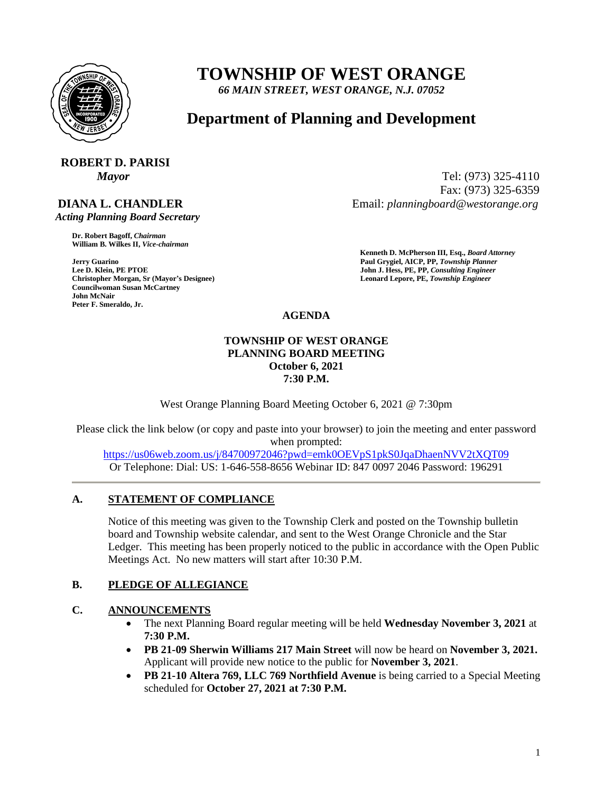

# **TOWNSHIP OF WEST ORANGE**

*66 MAIN STREET, WEST ORANGE, N.J. 07052*

# **Department of Planning and Development**

# **ROBERT D. PARISI**

# **DIANA L. CHANDLER**

 *Acting Planning Board Secretary*

**Dr. Robert Bagoff,** *Chairman*  **William B. Wilkes II,** *Vice-chairman* 

**Christopher Morgan, Sr (Mayor's Designee) Leonard Lepore, PE,** *Township Engineer*  **Councilwoman Susan McCartney John McNair Peter F. Smeraldo, Jr.** 

*Mayor* Tel: (973) 325-4110 Fax: (973) 325-6359 Email: *planningboard@westorange.org*

**Kenneth D. McPherson III, Esq.,** *Board Attorney*  **Jerry Guarino Paul Grygiel, AICP, PP,** *Township Planner*  **John J. Hess, PE, PP,** *Consulting Engineer* 

**AGENDA**

#### **TOWNSHIP OF WEST ORANGE PLANNING BOARD MEETING October 6, 2021 7:30 P.M.**

West Orange Planning Board Meeting October 6, 2021 @ 7:30pm

Please click the link below (or copy and paste into your browser) to join the meeting and enter password when prompted:

<https://us06web.zoom.us/j/84700972046?pwd=emk0OEVpS1pkS0JqaDhaenNVV2tXQT09> Or Telephone: Dial: US: 1-646-558-8656 Webinar ID: 847 0097 2046 Password: 196291

## **A. STATEMENT OF COMPLIANCE**

Notice of this meeting was given to the Township Clerk and posted on the Township bulletin board and Township website calendar, and sent to the West Orange Chronicle and the Star Ledger. This meeting has been properly noticed to the public in accordance with the Open Public Meetings Act. No new matters will start after 10:30 P.M.

## **B. PLEDGE OF ALLEGIANCE**

## **C. ANNOUNCEMENTS**

- The next Planning Board regular meeting will be held **Wednesday November 3, 2021** at **7:30 P.M.**
- **PB 21-09 Sherwin Williams 217 Main Street** will now be heard on **November 3, 2021.**  Applicant will provide new notice to the public for **November 3, 2021**.
- **PB 21-10 Altera 769, LLC 769 Northfield Avenue** is being carried to a Special Meeting scheduled for **October 27, 2021 at 7:30 P.M.**